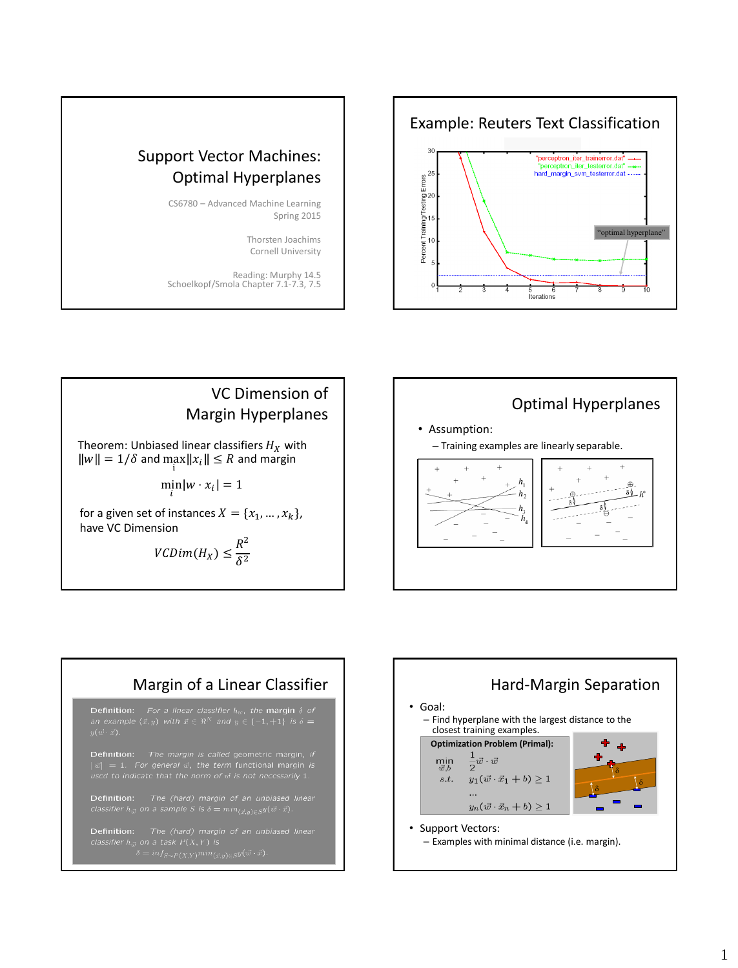

## Support Vector Machines: Optimal Hyperplanes

CS6780 – Advanced Machine Learning Spring 2015

> Thorsten Joachims Cornell University

Reading: Murphy 14.5 Schoelkopf/Smola Chapter 7.1-7.3, 7.5